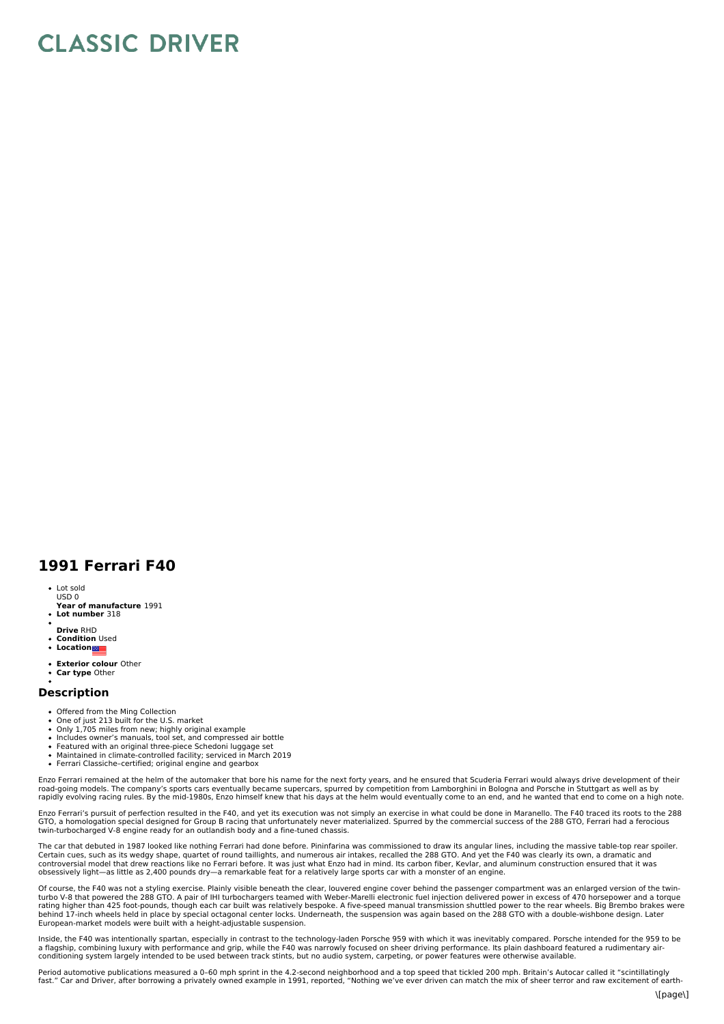## **CLASSIC DRIVER**

## **1991 Ferrari F40**

- Lot sold
- **Year of manufacture** 1991 USD 0
- **Lot number** 318
- **Drive** RHD
- **Condition** Used **Location**
- 
- **Exterior colour** Other
- **Car type** Other

## **Description**

- Offered from the Ming Collection<br>One of just 213 built for the U.S. market
- 
- Only 1,705 miles from new; highly original example Includes owner's manuals, tool set, and compressed air bottle
- 
- Featured with an original three-piece Schedoni luggage set<br>Maintained in climate-controlled facility; serviced in March 2019
- Ferrari Classiche–certified; original engine and gearbox

Enzo Ferrari remained at the helm of the automaker that bore his name for the next forty years, and he ensured that Scuderia Ferrari would always drive development of their road-going models. The company's sports cars eventually became supercars, spurred by competition from Lamborghini in Bologna and Porsche in Stuttgart as well as by<br>rapidly evolving racing rules. By the mid-1980s, Enzo hims

Enzo Ferrari's pursuit of perfection resulted in the F40, and yet its execution was not simply an exercise in what could be done in Maranello. The F40 traced its roots to the 288<br>GTO, a homologation special designed for Gr twin-turbocharged V-8 engine ready for an outlandish body and a fine-tuned chassis.

The car that debuted in 1987 looked like nothing Ferrari had done before. Pininfarina was commissioned to draw its angular lines, including the massive table-top rear spoiler. Certain cues, such as its wedgy shape, quartet of round taillights, and numerous air intakes, recalled the 288 GTO. And yet the F40 was clearly its own, a dramatic and<br>controversial model that drew reactions like no Ferrar obsessively light—as little as 2,400 pounds dry—a remarkable feat for a relatively large sports car with a monster of an engine.

Of course, the F40 was not a styling exercise. Plainly visible beneath the clear, louvered engine cover behind the passenger compartment was an enlarged version of the twinturbo V-8 that powered the 288 GTO. A pair of IHI turbochargers teamed with Weber-Marelli electronic fuel injection delivered power in excess of 470 horsepower and a torque<br>rating higher than 425 foot-pounds, though each c behind 17-inch wheels held in place by special octagonal center locks. Underneath, the suspension was again based on the 288 GTO with a double-wishbone design. Later<br>European-market models were built with a height-adjustab

Inside, the F40 was intentionally spartan, especially in contrast to the technology-laden Porsche 959 with which it was inevitably compared. Porsche intended for the 959 to be a flagship, combining luxury with performance and grip, while the F40 was narrowly focused on sheer driving performance. Its plain dashboard featured a rudimentary air-<br>conditioning system largely intended to be used betwe

Period automotive publications measured a 0-60 mph sprint in the 4.2-second neighborhood and a top speed that tickled 200 mph. Britain's Autocar called it "scintillatingly<br>fast." Car and Driver, after borrowing a privately